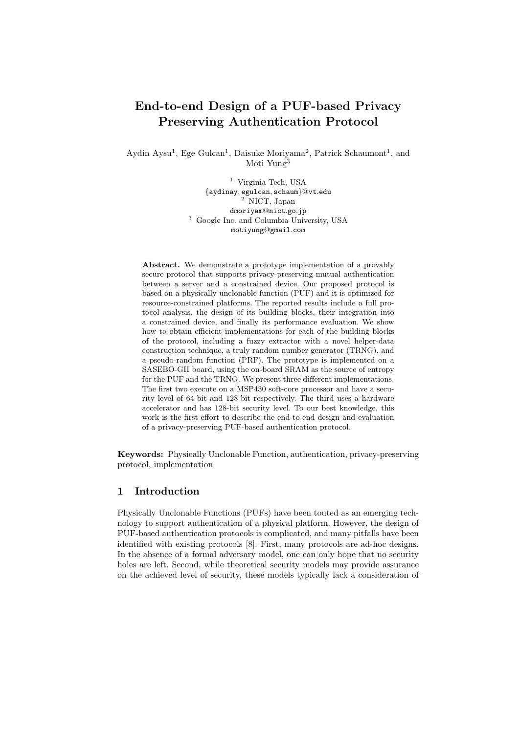# End-to-end Design of a PUF-based Privacy Preserving Authentication Protocol

Aydin Aysu<sup>1</sup>, Ege Gulcan<sup>1</sup>, Daisuke Moriyama<sup>2</sup>, Patrick Schaumont<sup>1</sup>, and Moti Yung<sup>3</sup>

> <sup>1</sup> Virginia Tech, USA {aydinay, egulcan, schaum}@vt.edu <sup>2</sup> NICT, Japan dmoriyam@nict.go.jp <sup>3</sup> Google Inc. and Columbia University, USA motiyung@gmail.com

Abstract. We demonstrate a prototype implementation of a provably secure protocol that supports privacy-preserving mutual authentication between a server and a constrained device. Our proposed protocol is based on a physically unclonable function (PUF) and it is optimized for resource-constrained platforms. The reported results include a full protocol analysis, the design of its building blocks, their integration into a constrained device, and finally its performance evaluation. We show how to obtain efficient implementations for each of the building blocks of the protocol, including a fuzzy extractor with a novel helper-data construction technique, a truly random number generator (TRNG), and a pseudo-random function (PRF). The prototype is implemented on a SASEBO-GII board, using the on-board SRAM as the source of entropy for the PUF and the TRNG. We present three different implementations. The first two execute on a MSP430 soft-core processor and have a security level of 64-bit and 128-bit respectively. The third uses a hardware accelerator and has 128-bit security level. To our best knowledge, this work is the first effort to describe the end-to-end design and evaluation of a privacy-preserving PUF-based authentication protocol.

Keywords: Physically Unclonable Function, authentication, privacy-preserving protocol, implementation

# 1 Introduction

Physically Unclonable Functions (PUFs) have been touted as an emerging technology to support authentication of a physical platform. However, the design of PUF-based authentication protocols is complicated, and many pitfalls have been identified with existing protocols [8]. First, many protocols are ad-hoc designs. In the absence of a formal adversary model, one can only hope that no security holes are left. Second, while theoretical security models may provide assurance on the achieved level of security, these models typically lack a consideration of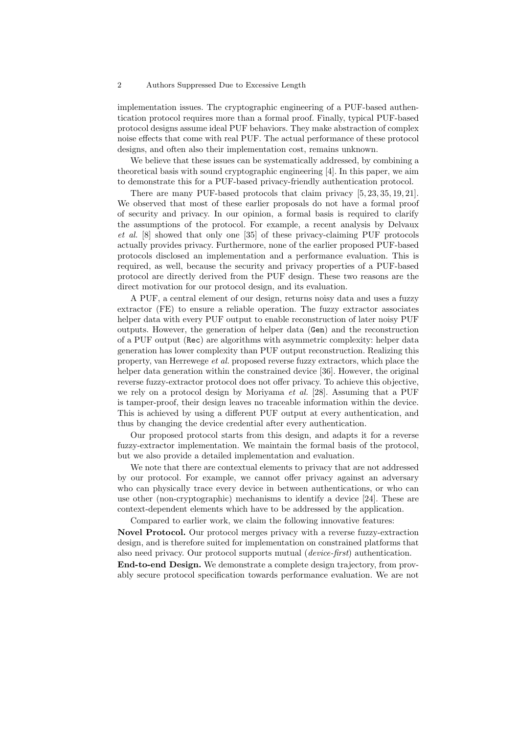implementation issues. The cryptographic engineering of a PUF-based authentication protocol requires more than a formal proof. Finally, typical PUF-based protocol designs assume ideal PUF behaviors. They make abstraction of complex noise effects that come with real PUF. The actual performance of these protocol designs, and often also their implementation cost, remains unknown.

We believe that these issues can be systematically addressed, by combining a theoretical basis with sound cryptographic engineering [4]. In this paper, we aim to demonstrate this for a PUF-based privacy-friendly authentication protocol.

There are many PUF-based protocols that claim privacy [5, 23, 35, 19, 21]. We observed that most of these earlier proposals do not have a formal proof of security and privacy. In our opinion, a formal basis is required to clarify the assumptions of the protocol. For example, a recent analysis by Delvaux et al. [8] showed that only one [35] of these privacy-claiming PUF protocols actually provides privacy. Furthermore, none of the earlier proposed PUF-based protocols disclosed an implementation and a performance evaluation. This is required, as well, because the security and privacy properties of a PUF-based protocol are directly derived from the PUF design. These two reasons are the direct motivation for our protocol design, and its evaluation.

A PUF, a central element of our design, returns noisy data and uses a fuzzy extractor (FE) to ensure a reliable operation. The fuzzy extractor associates helper data with every PUF output to enable reconstruction of later noisy PUF outputs. However, the generation of helper data (Gen) and the reconstruction of a PUF output (Rec) are algorithms with asymmetric complexity: helper data generation has lower complexity than PUF output reconstruction. Realizing this property, van Herrewege et al. proposed reverse fuzzy extractors, which place the helper data generation within the constrained device [36]. However, the original reverse fuzzy-extractor protocol does not offer privacy. To achieve this objective, we rely on a protocol design by Moriyama *et al.* [28]. Assuming that a PUF is tamper-proof, their design leaves no traceable information within the device. This is achieved by using a different PUF output at every authentication, and thus by changing the device credential after every authentication.

Our proposed protocol starts from this design, and adapts it for a reverse fuzzy-extractor implementation. We maintain the formal basis of the protocol, but we also provide a detailed implementation and evaluation.

We note that there are contextual elements to privacy that are not addressed by our protocol. For example, we cannot offer privacy against an adversary who can physically trace every device in between authentications, or who can use other (non-cryptographic) mechanisms to identify a device [24]. These are context-dependent elements which have to be addressed by the application.

Compared to earlier work, we claim the following innovative features:

Novel Protocol. Our protocol merges privacy with a reverse fuzzy-extraction design, and is therefore suited for implementation on constrained platforms that also need privacy. Our protocol supports mutual (device-first) authentication.

End-to-end Design. We demonstrate a complete design trajectory, from provably secure protocol specification towards performance evaluation. We are not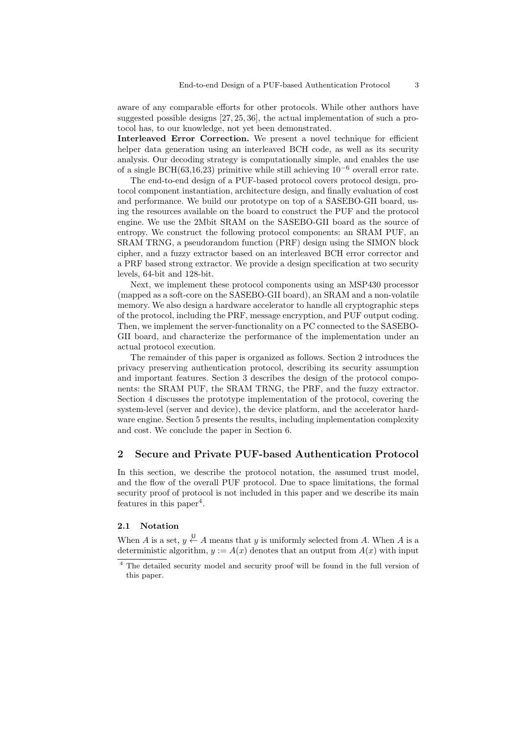aware of any comparable efforts for other protocols. While other authors have suggested possible designs [27, 25, 36], the actual implementation of such a protocol has, to our knowledge, not yet been demonstrated.

Interleaved Error Correction. We present a novel technique for efficient helper data generation using an interleaved BCH code, as well as its security analysis. Our decoding strategy is computationally simple, and enables the use of a single BCH(63,16,23) primitive while still achieving  $10^{-6}$  overall error rate.

The end-to-end design of a PUF-based protocol covers protocol design, protocol component instantiation, architecture design, and finally evaluation of cost and performance. We build our prototype on top of a SASEBO-GII board, using the resources available on the board to construct the PUF and the protocol engine. We use the 2Mbit SRAM on the SASEBO-GII board as the source of entropy. We construct the following protocol components: an SRAM PUF, an SRAM TRNG, a pseudorandom function (PRF) design using the SIMON block cipher, and a fuzzy extractor based on an interleaved BCH error corrector and a PRF based strong extractor. We provide a design specification at two security levels, 64-bit and 128-bit.

Next, we implement these protocol components using an MSP430 processor (mapped as a soft-core on the SASEBO-GII board), an SRAM and a non-volatile memory. We also design a hardware accelerator to handle all cryptographic steps of the protocol, including the PRF, message encryption, and PUF output coding. Then, we implement the server-functionality on a PC connected to the SASEBO-GII board, and characterize the performance of the implementation under an actual protocol execution.

The remainder of this paper is organized as follows. Section 2 introduces the privacy preserving authentication protocol, describing its security assumption and important features. Section 3 describes the design of the protocol components: the SRAM PUF, the SRAM TRNG, the PRF, and the fuzzy extractor. Section 4 discusses the prototype implementation of the protocol, covering the system-level (server and device), the device platform, and the accelerator hardware engine. Section 5 presents the results, including implementation complexity and cost. We conclude the paper in Section 6.

# 2 Secure and Private PUF-based Authentication Protocol

In this section, we describe the protocol notation, the assumed trust model, and the flow of the overall PUF protocol. Due to space limitations, the formal security proof of protocol is not included in this paper and we describe its main features in this paper<sup>4</sup>.

### 2.1 Notation

When A is a set,  $y \stackrel{\cup}{\leftarrow} A$  means that y is uniformly selected from A. When A is a deterministic algorithm,  $y := A(x)$  denotes that an output from  $A(x)$  with input

<sup>4</sup> The detailed security model and security proof will be found in the full version of this paper.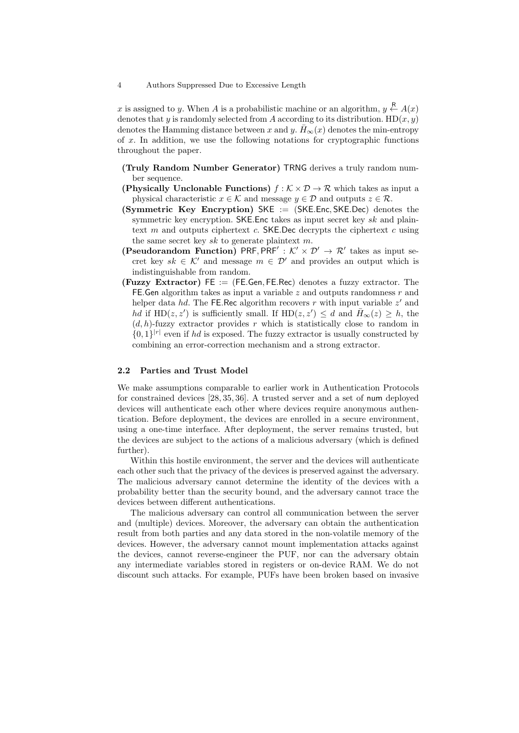x is assigned to y. When A is a probabilistic machine or an algorithm,  $y \stackrel{\mathsf{R}}{\leftarrow} A(x)$ denotes that y is randomly selected from A according to its distribution.  $HD(x, y)$ denotes the Hamming distance between x and y.  $\bar{H}_{\infty}(x)$  denotes the min-entropy of  $x$ . In addition, we use the following notations for cryptographic functions throughout the paper.

- (Truly Random Number Generator) TRNG derives a truly random number sequence.
- (Physically Unclonable Functions)  $f : \mathcal{K} \times \mathcal{D} \to \mathcal{R}$  which takes as input a physical characteristic  $x \in \mathcal{K}$  and message  $y \in \mathcal{D}$  and outputs  $z \in \mathcal{R}$ .
- (Symmetric Key Encryption) SKE := (SKE.Enc, SKE.Dec) denotes the symmetric key encryption. SKE. Enc takes as input secret key  $sk$  and plaintext  $m$  and outputs ciphertext  $c$ . SKE.Dec decrypts the ciphertext  $c$  using the same secret key  $sk$  to generate plaintext m.
- (Pseudorandom Function) PRF, PRF' :  $K' \times \mathcal{D}' \rightarrow \mathcal{R}'$  takes as input secret key sk  $\in \mathcal{K}'$  and message  $m \in \mathcal{D}'$  and provides an output which is indistinguishable from random.
- (Fuzzy Extractor)  $FE := (FE.Gen, FE-Rec)$  denotes a fuzzy extractor. The FE. Gen algorithm takes as input a variable  $z$  and outputs randomness  $r$  and helper data hd. The FE.Rec algorithm recovers r with input variable  $z'$  and hd if HD(z, z') is sufficiently small. If HD(z, z')  $\leq d$  and  $\bar{H}_{\infty}(z) \geq h$ , the  $(d, h)$ -fuzzy extractor provides r which is statistically close to random in  $\{0,1\}^{|r|}$  even if hd is exposed. The fuzzy extractor is usually constructed by combining an error-correction mechanism and a strong extractor.

#### 2.2 Parties and Trust Model

We make assumptions comparable to earlier work in Authentication Protocols for constrained devices [28, 35, 36]. A trusted server and a set of num deployed devices will authenticate each other where devices require anonymous authentication. Before deployment, the devices are enrolled in a secure environment, using a one-time interface. After deployment, the server remains trusted, but the devices are subject to the actions of a malicious adversary (which is defined further).

Within this hostile environment, the server and the devices will authenticate each other such that the privacy of the devices is preserved against the adversary. The malicious adversary cannot determine the identity of the devices with a probability better than the security bound, and the adversary cannot trace the devices between different authentications.

The malicious adversary can control all communication between the server and (multiple) devices. Moreover, the adversary can obtain the authentication result from both parties and any data stored in the non-volatile memory of the devices. However, the adversary cannot mount implementation attacks against the devices, cannot reverse-engineer the PUF, nor can the adversary obtain any intermediate variables stored in registers or on-device RAM. We do not discount such attacks. For example, PUFs have been broken based on invasive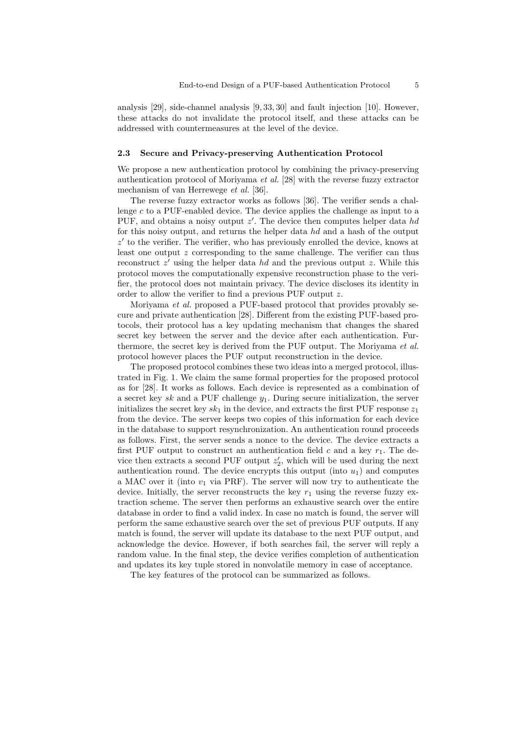analysis [29], side-channel analysis [9, 33, 30] and fault injection [10]. However, these attacks do not invalidate the protocol itself, and these attacks can be addressed with countermeasures at the level of the device.

#### 2.3 Secure and Privacy-preserving Authentication Protocol

We propose a new authentication protocol by combining the privacy-preserving authentication protocol of Moriyama et al. [28] with the reverse fuzzy extractor mechanism of van Herrewege et al. [36].

The reverse fuzzy extractor works as follows [36]. The verifier sends a challenge  $c$  to a PUF-enabled device. The device applies the challenge as input to a PUF, and obtains a noisy output  $z'$ . The device then computes helper data hd for this noisy output, and returns the helper data hd and a hash of the output  $z'$  to the verifier. The verifier, who has previously enrolled the device, knows at least one output z corresponding to the same challenge. The verifier can thus reconstruct  $z'$  using the helper data hd and the previous output  $z$ . While this protocol moves the computationally expensive reconstruction phase to the verifier, the protocol does not maintain privacy. The device discloses its identity in order to allow the verifier to find a previous PUF output z.

Moriyama et al. proposed a PUF-based protocol that provides provably secure and private authentication [28]. Different from the existing PUF-based protocols, their protocol has a key updating mechanism that changes the shared secret key between the server and the device after each authentication. Furthermore, the secret key is derived from the PUF output. The Moriyama et al. protocol however places the PUF output reconstruction in the device.

The proposed protocol combines these two ideas into a merged protocol, illustrated in Fig. 1. We claim the same formal properties for the proposed protocol as for [28]. It works as follows. Each device is represented as a combination of a secret key sk and a PUF challenge  $y_1$ . During secure initialization, the server initializes the secret key  $sk_1$  in the device, and extracts the first PUF response  $z_1$ from the device. The server keeps two copies of this information for each device in the database to support resynchronization. An authentication round proceeds as follows. First, the server sends a nonce to the device. The device extracts a first PUF output to construct an authentication field  $c$  and a key  $r_1$ . The device then extracts a second PUF output  $z'_{2}$ , which will be used during the next authentication round. The device encrypts this output (into  $u_1$ ) and computes a MAC over it (into  $v_1$  via PRF). The server will now try to authenticate the device. Initially, the server reconstructs the key  $r_1$  using the reverse fuzzy extraction scheme. The server then performs an exhaustive search over the entire database in order to find a valid index. In case no match is found, the server will perform the same exhaustive search over the set of previous PUF outputs. If any match is found, the server will update its database to the next PUF output, and acknowledge the device. However, if both searches fail, the server will reply a random value. In the final step, the device verifies completion of authentication and updates its key tuple stored in nonvolatile memory in case of acceptance.

The key features of the protocol can be summarized as follows.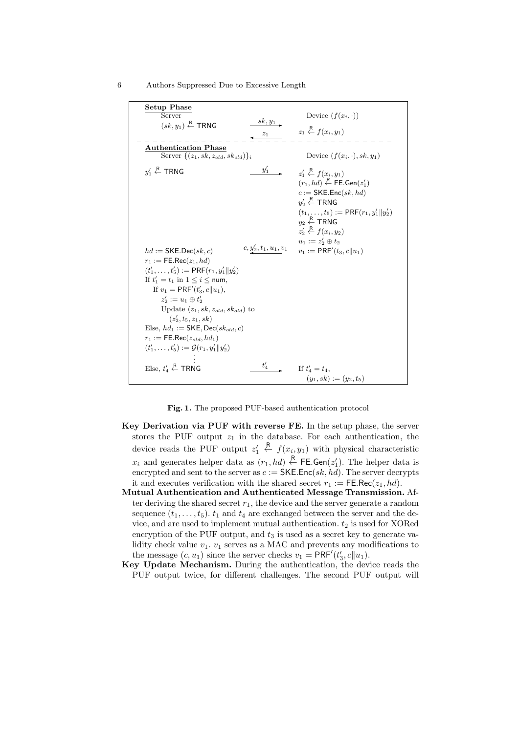| <b>Setup Phase</b>                                                       |                                                                              |
|--------------------------------------------------------------------------|------------------------------------------------------------------------------|
| Server                                                                   | Device $(f(x_i, \cdot))$                                                     |
| $sk, y_1$<br>$(sk, y_1) \stackrel{\mathsf{R}}{\leftarrow} \mathsf{TRNG}$ |                                                                              |
| $z_1$                                                                    | $z_1 \stackrel{\mathsf{R}}{\leftarrow} f(x_i, y_1)$                          |
| <b>Authentication Phase</b>                                              |                                                                              |
| Server $\{(z_1, sk, z_{old}, sk_{old})\}_i$                              | Device $(f(x_i, \cdot), sk, y_1)$                                            |
|                                                                          |                                                                              |
| $y_1$<br>$y'_1 \stackrel{R}{\leftarrow}$ TRNG                            | $z'_1 \stackrel{\mathsf{R}}{\leftarrow} f(x_i, y_1)$                         |
|                                                                          | $(r_1, hd) \stackrel{\mathsf{R}}{\leftarrow} \mathsf{FE}.\mathsf{Gen}(z_1')$ |
|                                                                          | $c := \mathsf{SKE}$ . Enc $(sk, hd)$                                         |
|                                                                          | $y_2' \stackrel{\mathsf{R}}{\leftarrow} \mathsf{TRNG}$                       |
|                                                                          | $(t_1,\ldots,t_5):=\mathsf{PRF}(r_1,y'_1  y'_2)$                             |
|                                                                          | $y_2 \stackrel{\textsf{\tiny R}}{\leftarrow}$ TRNG                           |
|                                                                          | $z'_2 \stackrel{\mathsf{R}}{\leftarrow} f(x_i, y_2)$                         |
|                                                                          | $u_1 := z'_2 \oplus t_2$                                                     |
| $c, \underline{y'_2}, t_1, u_1, v_1$                                     |                                                                              |
| $hd :=$ SKE.Dec(sk, c)                                                   | $v_1 := \mathsf{PRF}'(t_3, c  u_1)$                                          |
| $r_1 := \mathsf{FE}.\mathsf{Rec}(z_1, hd)$                               |                                                                              |
| $(t'_1,\ldots,t'_5):=\mathsf{PRF}(r_1,y'_1  y'_2)$                       |                                                                              |
| If $t'_1 = t_1$ in $1 \le i \le$ num,                                    |                                                                              |
| If $v_1 = PRF'(t'_3, c  u_1)$ ,                                          |                                                                              |
| $z'_2 := u_1 \oplus t'_2$                                                |                                                                              |
| Update $(z_1, sk, z_{old}, sk_{old})$ to                                 |                                                                              |
| $(z'_2, t_5, z_1, sk)$                                                   |                                                                              |
| Else, $hd_1 :=$ SKE, Dec( $sk_{old}, c$ )                                |                                                                              |
| $r_1 := \mathsf{FE}.\mathsf{Rec}(z_{old}, hd_1)$                         |                                                                              |
| $(t'_1,\ldots,t'_5):=\mathcal{G}(r_1,y'_1  y'_2)$                        |                                                                              |
|                                                                          |                                                                              |
| $t_A'$<br>Else, $t'_4$ $\stackrel{R}{\leftarrow}$ TRNG                   | If $t_4'=t_4$ .                                                              |
|                                                                          | $(y_1, sk) := (y_2, t_5)$                                                    |
|                                                                          |                                                                              |

6 Authors Suppressed Due to Excessive Length

Fig. 1. The proposed PUF-based authentication protocol

- Key Derivation via PUF with reverse FE. In the setup phase, the server stores the PUF output  $z_1$  in the database. For each authentication, the device reads the PUF output  $z_1'$  $\stackrel{R}{\leftarrow} f(x_i, y_1)$  with physical characteristic  $x_i$  and generates helper data as  $(r_1, hd) \stackrel{\mathsf{R}}{\leftarrow} \mathsf{FE}.\mathsf{Gen}(z_1').$  The helper data is encrypted and sent to the server as  $c := \mathsf{SKE}.\mathsf{Enc}(sk, hd)$ . The server decrypts it and executes verification with the shared secret  $r_1 := \mathsf{FE} \cdot \mathsf{Rec}(z_1, hd)$ .
- Mutual Authentication and Authenticated Message Transmission. After deriving the shared secret  $r_1$ , the device and the server generate a random sequence  $(t_1, \ldots, t_5)$ .  $t_1$  and  $t_4$  are exchanged between the server and the device, and are used to implement mutual authentication.  $t_2$  is used for XORed encryption of the PUF output, and  $t_3$  is used as a secret key to generate validity check value  $v_1$ .  $v_1$  serves as a MAC and prevents any modifications to the message  $(c, u_1)$  since the server checks  $v_1 = \text{PRF}'(t'_3, c||u_1)$ .
- Key Update Mechanism. During the authentication, the device reads the PUF output twice, for different challenges. The second PUF output will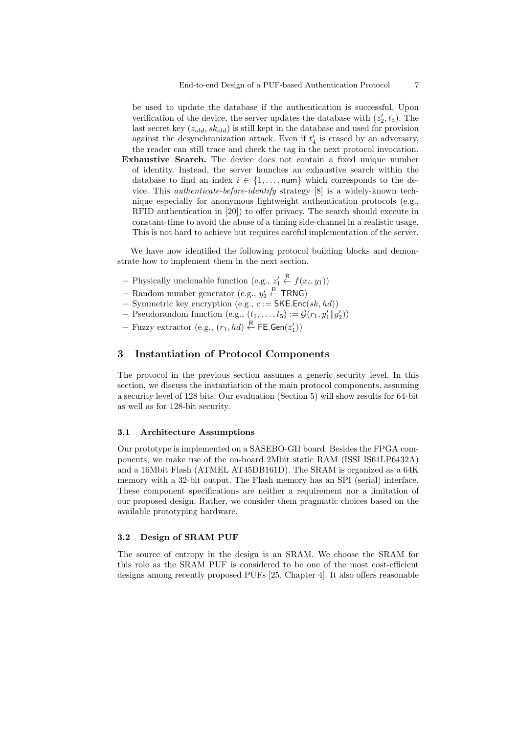be used to update the database if the authentication is successful. Upon verification of the device, the server updates the database with  $(z'_2, t_5)$ . The last secret key  $(z_{old}, sk_{old})$  is still kept in the database and used for provision against the desynchronization attack. Even if  $t_4'$  is erased by an adversary, the reader can still trace and check the tag in the next protocol invocation.

Exhaustive Search. The device does not contain a fixed unique number of identity. Instead, the server launches an exhaustive search within the database to find an index  $i \in \{1, \ldots, \text{num}\}\$  which corresponds to the device. This authenticate-before-identify strategy [8] is a widely-known technique especially for anonymous lightweight authentication protocols (e.g., RFID authentication in [20]) to offer privacy. The search should execute in constant-time to avoid the abuse of a timing side-channel in a realistic usage. This is not hard to achieve but requires careful implementation of the server.

We have now identified the following protocol building blocks and demonstrate how to implement them in the next section.

- Physically unclonable function (e.g.,  $z'_1$ )  $\stackrel{\mathsf{R}}{\leftarrow} f(x_i, y_1)$
- Random number generator (e.g.,  $y_2'$  $\stackrel{R}{\leftarrow}$  TRNG)
- Symmetric key encryption (e.g.,  $c := \text{SKE}$ . $\text{Enc}(sk, hd)$ )
- Pseudorandom function (e.g.,  $(t_1, \ldots, t_5) := \mathcal{G}(r_1, y_1' || y_2')$ )
- $-$  Fuzzy extractor (e.g.,  $(r_1, hd) \stackrel{\mathsf{R}}{\leftarrow} \mathsf{FE}.\mathsf{Gen}(z_1'))$

# 3 Instantiation of Protocol Components

The protocol in the previous section assumes a generic security level. In this section, we discuss the instantiation of the main protocol components, assuming a security level of 128 bits. Our evaluation (Section 5) will show results for 64-bit as well as for 128-bit security.

#### 3.1 Architecture Assumptions

Our prototype is implemented on a SASEBO-GII board. Besides the FPGA components, we make use of the on-board 2Mbit static RAM (ISSI IS61LP6432A) and a 16Mbit Flash (ATMEL AT45DB161D). The SRAM is organized as a 64K memory with a 32-bit output. The Flash memory has an SPI (serial) interface. These component specifications are neither a requirement nor a limitation of our proposed design. Rather, we consider them pragmatic choices based on the available prototyping hardware.

# 3.2 Design of SRAM PUF

The source of entropy in the design is an SRAM. We choose the SRAM for this role as the SRAM PUF is considered to be one of the most cost-efficient designs among recently proposed PUFs [25, Chapter 4]. It also offers reasonable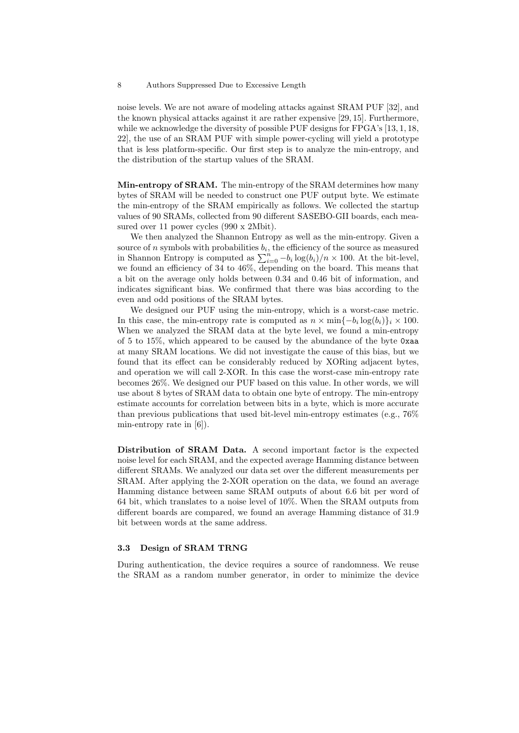noise levels. We are not aware of modeling attacks against SRAM PUF [32], and the known physical attacks against it are rather expensive [29, 15]. Furthermore, while we acknowledge the diversity of possible PUF designs for FPGA's [13, 1, 18, 22], the use of an SRAM PUF with simple power-cycling will yield a prototype that is less platform-specific. Our first step is to analyze the min-entropy, and the distribution of the startup values of the SRAM.

Min-entropy of SRAM. The min-entropy of the SRAM determines how many bytes of SRAM will be needed to construct one PUF output byte. We estimate the min-entropy of the SRAM empirically as follows. We collected the startup values of 90 SRAMs, collected from 90 different SASEBO-GII boards, each measured over 11 power cycles (990 x 2Mbit).

We then analyzed the Shannon Entropy as well as the min-entropy. Given a source of n symbols with probabilities  $b_i$ , the efficiency of the source as measured in Shannon Entropy is computed as  $\sum_{i=0}^{n} -b_i \log(b_i)/n \times 100$ . At the bit-level, we found an efficiency of 34 to 46%, depending on the board. This means that a bit on the average only holds between 0.34 and 0.46 bit of information, and indicates significant bias. We confirmed that there was bias according to the even and odd positions of the SRAM bytes.

We designed our PUF using the min-entropy, which is a worst-case metric. In this case, the min-entropy rate is computed as  $n \times \min\{-b_i \log(b_i)\}_i \times 100$ . When we analyzed the SRAM data at the byte level, we found a min-entropy of 5 to 15%, which appeared to be caused by the abundance of the byte 0xaa at many SRAM locations. We did not investigate the cause of this bias, but we found that its effect can be considerably reduced by XORing adjacent bytes, and operation we will call 2-XOR. In this case the worst-case min-entropy rate becomes 26%. We designed our PUF based on this value. In other words, we will use about 8 bytes of SRAM data to obtain one byte of entropy. The min-entropy estimate accounts for correlation between bits in a byte, which is more accurate than previous publications that used bit-level min-entropy estimates (e.g., 76% min-entropy rate in [6]).

Distribution of SRAM Data. A second important factor is the expected noise level for each SRAM, and the expected average Hamming distance between different SRAMs. We analyzed our data set over the different measurements per SRAM. After applying the 2-XOR operation on the data, we found an average Hamming distance between same SRAM outputs of about 6.6 bit per word of 64 bit, which translates to a noise level of 10%. When the SRAM outputs from different boards are compared, we found an average Hamming distance of 31.9 bit between words at the same address.

# 3.3 Design of SRAM TRNG

During authentication, the device requires a source of randomness. We reuse the SRAM as a random number generator, in order to minimize the device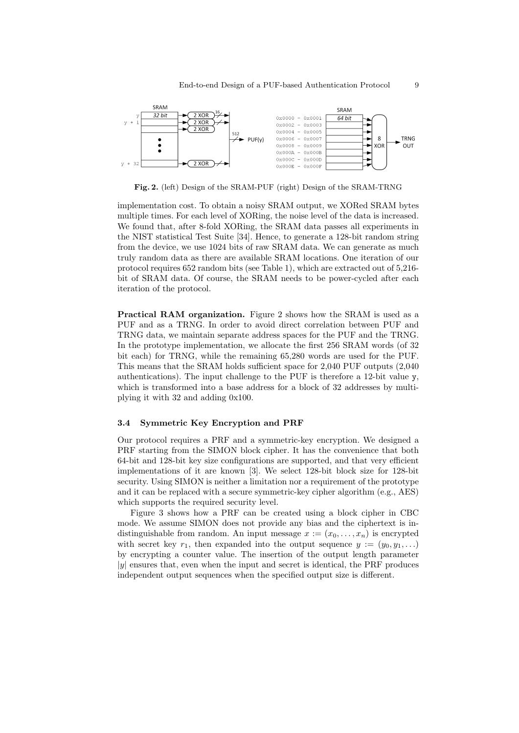

Fig. 2. (left) Design of the SRAM-PUF (right) Design of the SRAM-TRNG

implementation cost. To obtain a noisy SRAM output, we XORed SRAM bytes multiple times. For each level of XORing, the noise level of the data is increased. We found that, after 8-fold XORing, the SRAM data passes all experiments in the NIST statistical Test Suite [34]. Hence, to generate a 128-bit random string from the device, we use 1024 bits of raw SRAM data. We can generate as much truly random data as there are available SRAM locations. One iteration of our protocol requires 652 random bits (see Table 1), which are extracted out of 5,216 bit of SRAM data. Of course, the SRAM needs to be power-cycled after each iteration of the protocol.

Practical RAM organization. Figure 2 shows how the SRAM is used as a PUF and as a TRNG. In order to avoid direct correlation between PUF and TRNG data, we maintain separate address spaces for the PUF and the TRNG. In the prototype implementation, we allocate the first 256 SRAM words (of 32 bit each) for TRNG, while the remaining 65,280 words are used for the PUF. This means that the SRAM holds sufficient space for 2,040 PUF outputs (2,040 authentications). The input challenge to the PUF is therefore a 12-bit value  $\gamma$ , which is transformed into a base address for a block of 32 addresses by multiplying it with 32 and adding 0x100.

# 3.4 Symmetric Key Encryption and PRF

Our protocol requires a PRF and a symmetric-key encryption. We designed a PRF starting from the SIMON block cipher. It has the convenience that both 64-bit and 128-bit key size configurations are supported, and that very efficient implementations of it are known [3]. We select 128-bit block size for 128-bit security. Using SIMON is neither a limitation nor a requirement of the prototype and it can be replaced with a secure symmetric-key cipher algorithm (e.g., AES) which supports the required security level.

Figure 3 shows how a PRF can be created using a block cipher in CBC mode. We assume SIMON does not provide any bias and the ciphertext is indistinguishable from random. An input message  $x := (x_0, \ldots, x_n)$  is encrypted with secret key  $r_1$ , then expanded into the output sequence  $y := (y_0, y_1, \ldots)$ by encrypting a counter value. The insertion of the output length parameter  $|y|$  ensures that, even when the input and secret is identical, the PRF produces independent output sequences when the specified output size is different.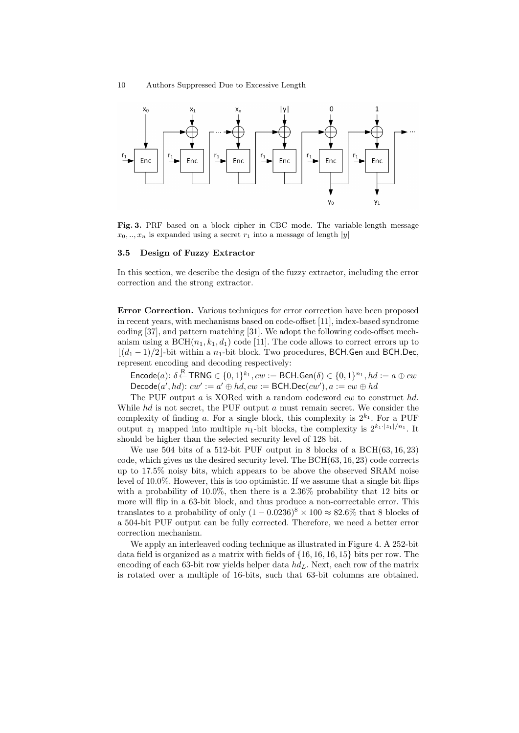

Fig. 3. PRF based on a block cipher in CBC mode. The variable-length message  $x_0, \ldots, x_n$  is expanded using a secret  $r_1$  into a message of length |y|

#### 3.5 Design of Fuzzy Extractor

In this section, we describe the design of the fuzzy extractor, including the error correction and the strong extractor.

Error Correction. Various techniques for error correction have been proposed in recent years, with mechanisms based on code-offset [11], index-based syndrome coding [37], and pattern matching [31]. We adopt the following code-offset mechanism using a  $BCH(n_1, k_1, d_1)$  code [11]. The code allows to correct errors up to  $|(d_1 - 1)/2|$ -bit within a n<sub>1</sub>-bit block. Two procedures, BCH.Gen and BCH.Dec, represent encoding and decoding respectively:

 $\mathsf{Encode}(a)$ :  $\delta \stackrel{\mathsf{R}}{\leftarrow} \mathsf{TRNG} \in \{0,1\}^{k_1}, cw := \mathsf{BCH}.\mathsf{Gen}(\delta) \in \{0,1\}^{n_1}, hd := a \oplus cw$  $\mathsf{Decode}(a', hd): cw' := a' \oplus hd, cw := \mathsf{BCH}.\mathsf{Dec}(cw'), a := cw \oplus hd$ 

The PUF output  $a$  is XORed with a random codeword  $cw$  to construct  $hd$ . While  $hd$  is not secret, the PUF output a must remain secret. We consider the complexity of finding a. For a single block, this complexity is  $2^{k_1}$ . For a PUF output  $z_1$  mapped into multiple  $n_1$ -bit blocks, the complexity is  $2^{k_1 \cdot |z_1|/n_1}$ . It should be higher than the selected security level of 128 bit.

We use 504 bits of a 512-bit PUF output in 8 blocks of a BCH(63, 16, 23) code, which gives us the desired security level. The BCH(63, 16, 23) code corrects up to 17.5% noisy bits, which appears to be above the observed SRAM noise level of 10.0%. However, this is too optimistic. If we assume that a single bit flips with a probability of 10.0%, then there is a 2.36% probability that 12 bits or more will flip in a 63-bit block, and thus produce a non-correctable error. This translates to a probability of only  $(1 - 0.0236)^8 \times 100 \approx 82.6\%$  that 8 blocks of a 504-bit PUF output can be fully corrected. Therefore, we need a better error correction mechanism.

We apply an interleaved coding technique as illustrated in Figure 4. A 252-bit data field is organized as a matrix with fields of {16, 16, 16, 15} bits per row. The encoding of each 63-bit row yields helper data  $hd<sub>L</sub>$ . Next, each row of the matrix is rotated over a multiple of 16-bits, such that 63-bit columns are obtained.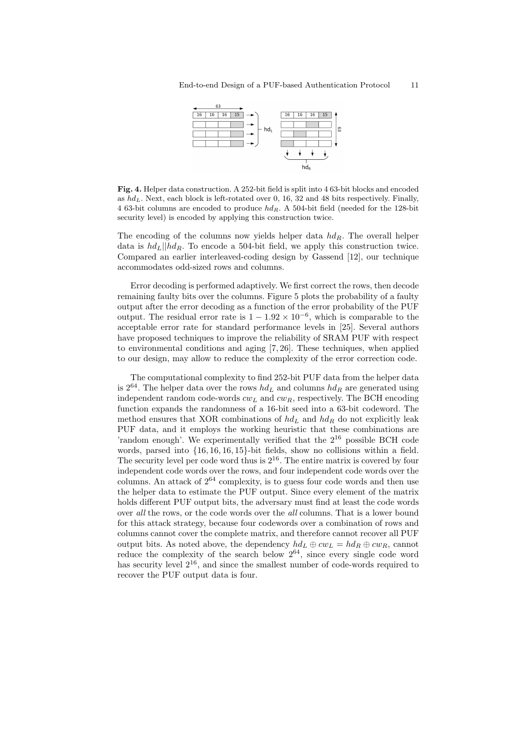

Fig. 4. Helper data construction. A 252-bit field is split into 4 63-bit blocks and encoded as  $hd_L$ . Next, each block is left-rotated over 0, 16, 32 and 48 bits respectively. Finally, 4 63-bit columns are encoded to produce  $hd_R$ . A 504-bit field (needed for the 128-bit security level) is encoded by applying this construction twice.

The encoding of the columns now yields helper data  $hd_R$ . The overall helper data is  $hd_L||hd_R$ . To encode a 504-bit field, we apply this construction twice. Compared an earlier interleaved-coding design by Gassend [12], our technique accommodates odd-sized rows and columns.

Error decoding is performed adaptively. We first correct the rows, then decode remaining faulty bits over the columns. Figure 5 plots the probability of a faulty output after the error decoding as a function of the error probability of the PUF output. The residual error rate is  $1 - 1.92 \times 10^{-6}$ , which is comparable to the acceptable error rate for standard performance levels in [25]. Several authors have proposed techniques to improve the reliability of SRAM PUF with respect to environmental conditions and aging [7, 26]. These techniques, when applied to our design, may allow to reduce the complexity of the error correction code.

The computational complexity to find 252-bit PUF data from the helper data is  $2^{64}$ . The helper data over the rows  $hd<sub>L</sub>$  and columns  $hd<sub>R</sub>$  are generated using independent random code-words  $cw<sub>L</sub>$  and  $cw<sub>R</sub>$ , respectively. The BCH encoding function expands the randomness of a 16-bit seed into a 63-bit codeword. The method ensures that XOR combinations of  $hd_L$  and  $hd_R$  do not explicitly leak PUF data, and it employs the working heuristic that these combinations are 'random enough'. We experimentally verified that the  $2^{16}$  possible BCH code words, parsed into {16, 16, 16, 15}-bit fields, show no collisions within a field. The security level per code word thus is  $2^{16}$ . The entire matrix is covered by four independent code words over the rows, and four independent code words over the columns. An attack of  $2^{64}$  complexity, is to guess four code words and then use the helper data to estimate the PUF output. Since every element of the matrix holds different PUF output bits, the adversary must find at least the code words over all the rows, or the code words over the all columns. That is a lower bound for this attack strategy, because four codewords over a combination of rows and columns cannot cover the complete matrix, and therefore cannot recover all PUF output bits. As noted above, the dependency  $hd_L \oplus cw_L = hd_R \oplus cw_R$ , cannot reduce the complexity of the search below  $2^{64}$ , since every single code word has security level  $2^{16}$ , and since the smallest number of code-words required to recover the PUF output data is four.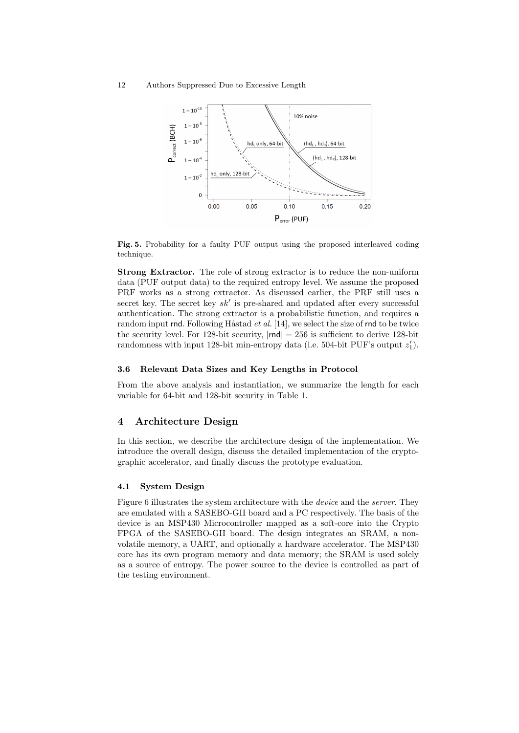

Fig. 5. Probability for a faulty PUF output using the proposed interleaved coding technique.

Strong Extractor. The role of strong extractor is to reduce the non-uniform data (PUF output data) to the required entropy level. We assume the proposed PRF works as a strong extractor. As discussed earlier, the PRF still uses a secret key. The secret key  $sk'$  is pre-shared and updated after every successful authentication. The strong extractor is a probabilistic function, and requires a random input rnd. Following Håstad *et al.* [14], we select the size of rnd to be twice the security level. For 128-bit security,  $|\text{rnd}| = 256$  is sufficient to derive 128-bit randomness with input 128-bit min-entropy data (i.e. 504-bit PUF's output  $z_1'$ ).

# 3.6 Relevant Data Sizes and Key Lengths in Protocol

From the above analysis and instantiation, we summarize the length for each variable for 64-bit and 128-bit security in Table 1.

### 4 Architecture Design

In this section, we describe the architecture design of the implementation. We introduce the overall design, discuss the detailed implementation of the cryptographic accelerator, and finally discuss the prototype evaluation.

#### 4.1 System Design

Figure 6 illustrates the system architecture with the device and the server. They are emulated with a SASEBO-GII board and a PC respectively. The basis of the device is an MSP430 Microcontroller mapped as a soft-core into the Crypto FPGA of the SASEBO-GII board. The design integrates an SRAM, a nonvolatile memory, a UART, and optionally a hardware accelerator. The MSP430 core has its own program memory and data memory; the SRAM is used solely as a source of entropy. The power source to the device is controlled as part of the testing environment.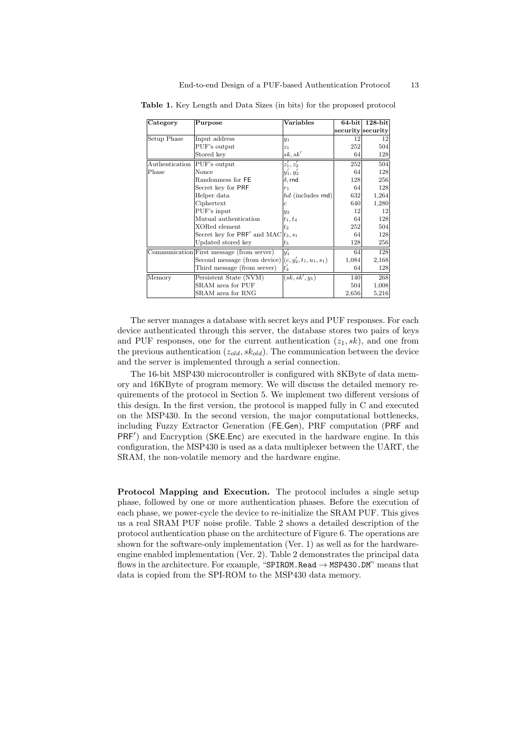| Category       | Purpose                                                   | Variables         | $64$ -bit | $128$ -bit        |
|----------------|-----------------------------------------------------------|-------------------|-----------|-------------------|
|                |                                                           |                   |           | security security |
| Setup Phase    | Input address                                             | $y_1$             | 12        | 12                |
|                | PUF's output                                              | z <sub>1</sub>    | 252       | 504               |
|                | Stored key                                                | sk, sk'           | 64        | 128               |
| Authentication | PUF's output                                              | $z'_1, z'_2$      | 252       | 504               |
| Phase          | Nonce                                                     | $y'_1, y'_2$      | 64        | 128               |
|                | Randonmess for FE                                         | $\delta$ , rnd    | 128       | 256               |
|                | Secret key for PRF                                        | $r_1$             | 64        | 128               |
|                | Helper data                                               | hd (includes rnd) | 632       | 1,264             |
|                | Ciphertext                                                | Ċ                 | 640       | 1,280             |
|                | PUF's input                                               | $y_2$             | 12        | 12                |
|                | Mutual authentication                                     | $t_1, t_4$        | 64        | 128               |
|                | XORed element                                             | $t_2$             | 252       | 504               |
|                | Secret key for PRF' and MAC                               | $t_3,s_1$         | 64        | 128               |
|                | Updated stored key                                        | $t_{5}$           | 128       | 256               |
|                | Communication First message (from server)                 | $y_1'$            | 64        | 128               |
|                | Second message (from device) $ (c, y'_2, t_1, u_1, s_1) $ |                   | 1,084     | 2,168             |
|                | Third message (from server)                               | $t_4'$            | 64        | 128               |
| Memory         | Persistent State (NVM)                                    | $(sk, sk', y_1)$  | 140       | 268               |
|                | SRAM area for PUF                                         |                   | 504       | 1,008             |
|                | SRAM area for RNG                                         |                   | 2,656     | 5,216             |

Table 1. Key Length and Data Sizes (in bits) for the proposed protocol

The server manages a database with secret keys and PUF responses. For each device authenticated through this server, the database stores two pairs of keys and PUF responses, one for the current authentication  $(z_1, sk)$ , and one from the previous authentication  $(z_{old}, sk_{old})$ . The communication between the device and the server is implemented through a serial connection.

The 16-bit MSP430 microcontroller is configured with 8KByte of data memory and 16KByte of program memory. We will discuss the detailed memory requirements of the protocol in Section 5. We implement two different versions of this design. In the first version, the protocol is mapped fully in C and executed on the MSP430. In the second version, the major computational bottlenecks, including Fuzzy Extractor Generation (FE.Gen), PRF computation (PRF and PRF<sup>'</sup>) and Encryption (SKE.Enc) are executed in the hardware engine. In this configuration, the MSP430 is used as a data multiplexer between the UART, the SRAM, the non-volatile memory and the hardware engine.

Protocol Mapping and Execution. The protocol includes a single setup phase, followed by one or more authentication phases. Before the execution of each phase, we power-cycle the device to re-initialize the SRAM PUF. This gives us a real SRAM PUF noise profile. Table 2 shows a detailed description of the protocol authentication phase on the architecture of Figure 6. The operations are shown for the software-only implementation (Ver. 1) as well as for the hardwareengine enabled implementation (Ver. 2). Table 2 demonstrates the principal data flows in the architecture. For example, "SPIROM.Read  $\rightarrow$  MSP430.DM" means that data is copied from the SPI-ROM to the MSP430 data memory.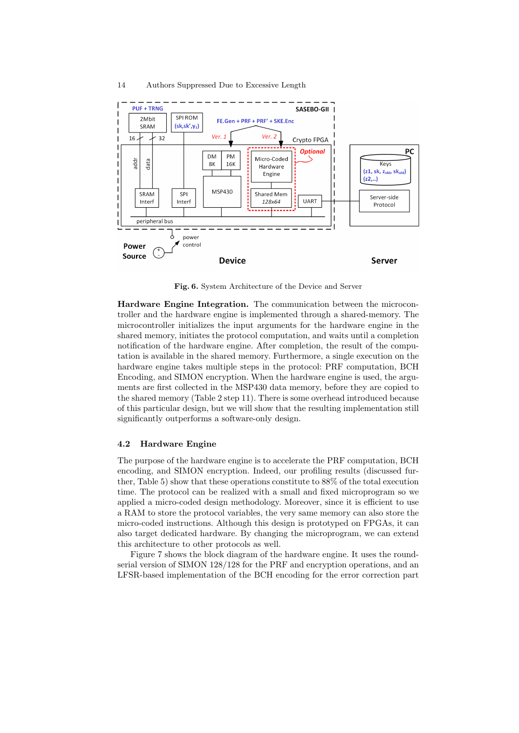

Fig. 6. System Architecture of the Device and Server

Hardware Engine Integration. The communication between the microcontroller and the hardware engine is implemented through a shared-memory. The microcontroller initializes the input arguments for the hardware engine in the shared memory, initiates the protocol computation, and waits until a completion notification of the hardware engine. After completion, the result of the computation is available in the shared memory. Furthermore, a single execution on the hardware engine takes multiple steps in the protocol: PRF computation, BCH Encoding, and SIMON encryption. When the hardware engine is used, the arguments are first collected in the MSP430 data memory, before they are copied to the shared memory (Table 2 step 11). There is some overhead introduced because of this particular design, but we will show that the resulting implementation still significantly outperforms a software-only design.

### 4.2 Hardware Engine

The purpose of the hardware engine is to accelerate the PRF computation, BCH encoding, and SIMON encryption. Indeed, our profiling results (discussed further, Table 5) show that these operations constitute to 88% of the total execution time. The protocol can be realized with a small and fixed microprogram so we applied a micro-coded design methodology. Moreover, since it is efficient to use a RAM to store the protocol variables, the very same memory can also store the micro-coded instructions. Although this design is prototyped on FPGAs, it can also target dedicated hardware. By changing the microprogram, we can extend this architecture to other protocols as well.

Figure 7 shows the block diagram of the hardware engine. It uses the roundserial version of SIMON 128/128 for the PRF and encryption operations, and an LFSR-based implementation of the BCH encoding for the error correction part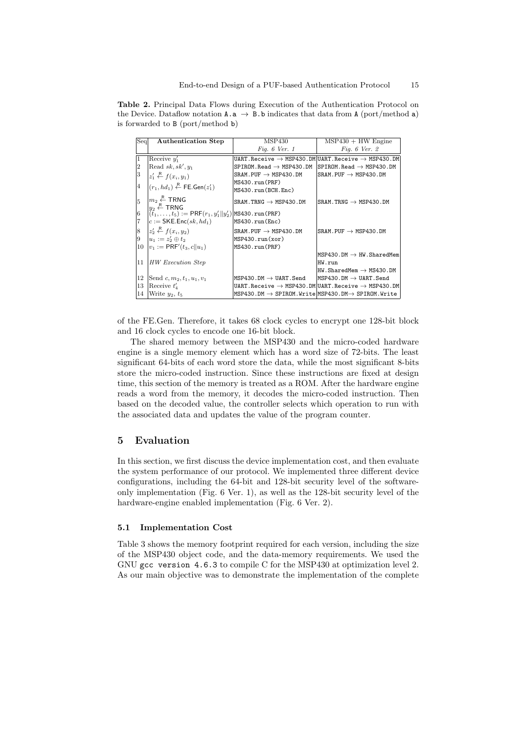Table 2. Principal Data Flows during Execution of the Authentication Protocol on the Device. Dataflow notation  $A.a \rightarrow B.b$  indicates that data from A (port/method a) is forwarded to B (port/method b)

| Seq            | <b>Authentication Step</b>                                      | MSP430                                                                       | $MSP430 + HW$ Engine                                                                                                          |
|----------------|-----------------------------------------------------------------|------------------------------------------------------------------------------|-------------------------------------------------------------------------------------------------------------------------------|
|                |                                                                 | Fig. $6$ Ver. 1                                                              | Fig. $6$ Ver. $2$                                                                                                             |
| 1              | Receive $y_1'$                                                  |                                                                              | <code>UART.Receive</code> $\rightarrow$ <code>MSP430.DM</code> <code>UART.Receive</code> $\rightarrow$ <code>MSP430.DM</code> |
| 2              | Read $sk, sk', y_1$                                             | $SPIROM.Fhead \rightarrow MSP430.PM$                                         | $SPIROM.Fhead \rightarrow MSP430.PM$                                                                                          |
| 3              | $z'_1 \stackrel{\text{R}}{\leftarrow} f(x_i, y_1)$              | $SRAM.PUF \rightarrow MSP430.DM$                                             | $SRAM.PUF \rightarrow MSP430.DM$                                                                                              |
| $\overline{4}$ | $(r_1, hd_1) \stackrel{\mathsf{R}}{\leftarrow}$ FE. Gen $(z_1)$ | MS430.run(PRF)                                                               |                                                                                                                               |
|                |                                                                 | MS430.run(BCH.Enc)                                                           |                                                                                                                               |
| 5              | $ m_2 \stackrel{\text{\tiny R}}{\leftarrow}$ TRNG               | $SRAM$ . TRNG $\rightarrow$ MSP430. DM                                       | $SRAM$ . TRNG $\rightarrow$ MSP430. DM                                                                                        |
|                | $ _{u_2}$ $\stackrel{\text{\tiny K}}{\leftarrow}$ TRNG          |                                                                              |                                                                                                                               |
| $\sqrt{6}$     | $[(t_1, \ldots, t_5) := PRF(r_1, y_1'  y_2')$  MS430.run (PRF)  |                                                                              |                                                                                                                               |
| $\overline{7}$ | $ c:=\mathsf{SKE}.\mathsf{Enc}(sk,hd_1)$                        | MS430.run(Enc)                                                               |                                                                                                                               |
| 8              | $ z'_2 \stackrel{\text{R}}{\leftarrow} f(x_i, y_2) $            | $SRAM.PUF \rightarrow MSP430.DM$                                             | $SRAM.PUF \rightarrow MSP430.DM$                                                                                              |
| 9              | $ u_1 :=z'_2\oplus t_2$                                         | MSP430.run(xor)                                                              |                                                                                                                               |
| 10             | $ v_1  := \mathsf{PRF}'(t_3, c  u_1)$                           | MS430.run(PRF)                                                               |                                                                                                                               |
|                |                                                                 |                                                                              | $MSP430.DM \rightarrow HW.SharedMem$                                                                                          |
| 11             | HW Execution Step                                               |                                                                              | HW.run                                                                                                                        |
|                |                                                                 |                                                                              | $HW.SharedMem \rightarrow MS430.DM$                                                                                           |
| 12             | Send $c, m_2, t_1, u_1, v_1$                                    | $MSP430.DM \rightarrow UART.Send$                                            | $MSP430.DM \rightarrow UART.Send$                                                                                             |
| 13             | Receive $t_4$                                                   |                                                                              | $UART$ .Receive $\rightarrow$ MSP430.DM UART.Receive $\rightarrow$ MSP430.DM                                                  |
| 14             | Write $y_2, t_5$                                                | $MSP430.DM \rightarrow SPIROM.Write\vert MSP430.DM \rightarrow SPIROM.Write$ |                                                                                                                               |

of the FE.Gen. Therefore, it takes 68 clock cycles to encrypt one 128-bit block and 16 clock cycles to encode one 16-bit block.

The shared memory between the MSP430 and the micro-coded hardware engine is a single memory element which has a word size of 72-bits. The least significant 64-bits of each word store the data, while the most significant 8-bits store the micro-coded instruction. Since these instructions are fixed at design time, this section of the memory is treated as a ROM. After the hardware engine reads a word from the memory, it decodes the micro-coded instruction. Then based on the decoded value, the controller selects which operation to run with the associated data and updates the value of the program counter.

# 5 Evaluation

In this section, we first discuss the device implementation cost, and then evaluate the system performance of our protocol. We implemented three different device configurations, including the 64-bit and 128-bit security level of the softwareonly implementation (Fig. 6 Ver. 1), as well as the 128-bit security level of the hardware-engine enabled implementation (Fig. 6 Ver. 2).

# 5.1 Implementation Cost

Table 3 shows the memory footprint required for each version, including the size of the MSP430 object code, and the data-memory requirements. We used the GNU gcc version 4.6.3 to compile C for the MSP430 at optimization level 2. As our main objective was to demonstrate the implementation of the complete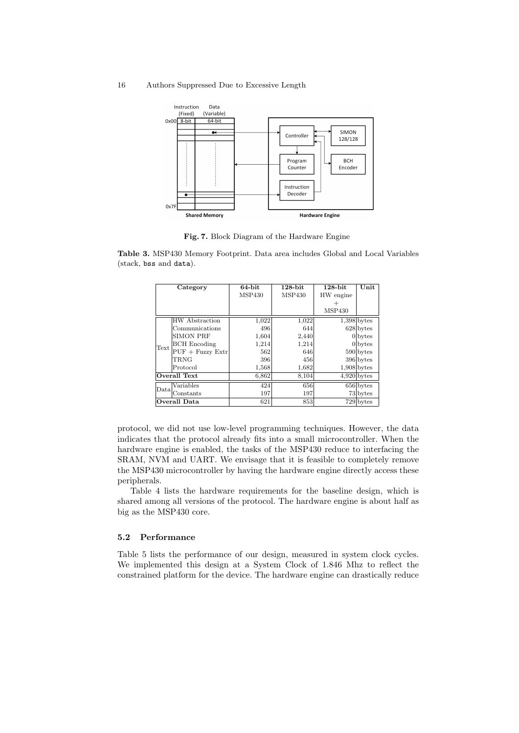

Fig. 7. Block Diagram of the Hardware Engine

Table 3. MSP430 Memory Footprint. Data area includes Global and Local Variables (stack, bss and data).

|      | Category            | 64-bit        | $128$ -bit | $128$ -bit    | Unit                   |
|------|---------------------|---------------|------------|---------------|------------------------|
|      |                     | <b>MSP430</b> | MSP430     | HW engine     |                        |
|      |                     |               |            |               |                        |
|      |                     |               |            | <b>MSP430</b> |                        |
|      | HW Abstraction      | 1,022         | 1,022      |               | $1,398$ bytes          |
|      | Communications      | 496           | 644        |               | $628$ bytes            |
|      | <b>SIMON PRF</b>    | 1,604         | 2,440      |               | $0$ bytes              |
| Text | <b>BCH</b> Encoding | 1,214         | 1,214      |               | $0$ bytes              |
|      | $PUF + Fuzzy Extr$  | 562           | 646        |               | $590$ bytes            |
|      | TRNG                | 396           | 456        |               | $396$ bytes            |
|      | Protocol            | 1,568         | 1,682      |               | $1,908$ bytes          |
|      | Overall Text        | 6,862         | 8,104      |               | $4.920$ bytes          |
| Data | Variables           | 424           | 656        |               | $\overline{656}$ bytes |
|      | Constants           | 197           | 197        |               | $73$ bytes             |
|      | Overall Data        | 621           | 853        |               | $729$ bytes            |

protocol, we did not use low-level programming techniques. However, the data indicates that the protocol already fits into a small microcontroller. When the hardware engine is enabled, the tasks of the MSP430 reduce to interfacing the SRAM, NVM and UART. We envisage that it is feasible to completely remove the MSP430 microcontroller by having the hardware engine directly access these peripherals.

Table 4 lists the hardware requirements for the baseline design, which is shared among all versions of the protocol. The hardware engine is about half as big as the MSP430 core.

# 5.2 Performance

Table 5 lists the performance of our design, measured in system clock cycles. We implemented this design at a System Clock of 1.846 Mhz to reflect the constrained platform for the device. The hardware engine can drastically reduce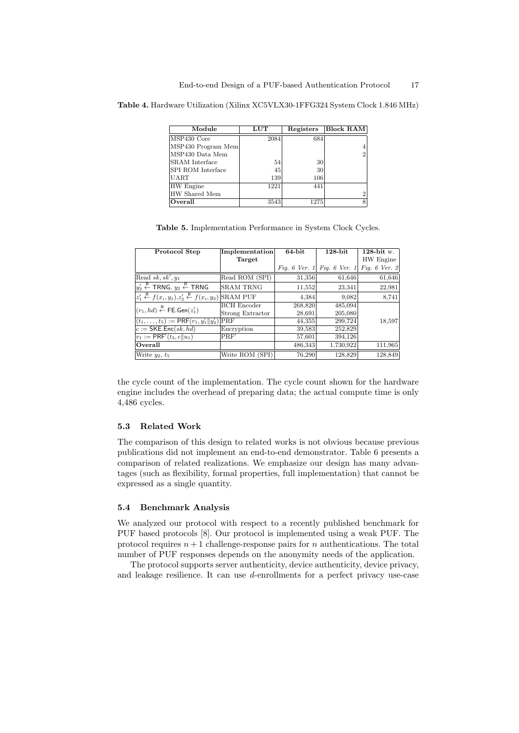Table 4. Hardware Utilization (Xilinx XC5VLX30-1FFG324 System Clock 1.846 MHz)

| Module                   | LUT  | Registers | <b>Block RAM</b> |
|--------------------------|------|-----------|------------------|
| MSP430 Core              | 2084 | 684       |                  |
| MSP430 Program Mem       |      |           |                  |
| MSP430 Data Mem          |      |           | $\overline{2}$   |
| <b>SRAM</b> Interface    | 54   | 30        |                  |
| <b>SPI ROM</b> Interface | 45   | 30        |                  |
| <b>UART</b>              | 139  | 106       |                  |
| HW Engine                | 1221 | 441       |                  |
| HW Shared Mem            |      |           | $\overline{2}$   |
| Overall                  | 3543 | 1275      | 8                |

Table 5. Implementation Performance in System Clock Cycles.

| Protocol Step                                                                                    | <b>Implementation</b> | 64-bit  | $128$ -bit                                | 128-bit w. |
|--------------------------------------------------------------------------------------------------|-----------------------|---------|-------------------------------------------|------------|
|                                                                                                  | Target                |         |                                           | HW Engine  |
|                                                                                                  |                       |         | Fig. 6 Ver. 1 Fig. 6 Ver. 1 Fig. 6 Ver. 2 |            |
| Read sk, sk', $y_1$                                                                              | Read ROM (SPI)        | 31,356  | 61,646                                    | 61,646     |
| $ y'_2\stackrel{\mathsf{R}}{\leftarrow}$ TRNG, $y_2\stackrel{\mathsf{R}}{\leftarrow}$ TRNG       | <b>SRAM TRNG</b>      | 11,552  | 23,341                                    | 22,981     |
| $ z'_1 \stackrel{R}{\leftarrow} f(x_i, y_1), z'_2 \stackrel{R}{\leftarrow} f(x_i, y_2)$ SRAM PUF |                       | 4.384   | 9,082                                     | 8,741      |
| $(r_1, hd) \stackrel{\mathsf{R}}{\leftarrow} \mathsf{FE}.\mathsf{Gen}(z_1')$                     | <b>BCH</b> Encoder    | 268,820 | 485,094                                   |            |
|                                                                                                  | Strong Extractor      | 28,691  | 205,080                                   |            |
| $(t_1,\ldots,t_5):=$ PRF $(r_1,y'_1  y'_2)$ PRF                                                  |                       | 44,355  | 299,724                                   | 18,597     |
| $c := \mathsf{SKE}$ . Enc $(sk, hd)$                                                             | Encryption            | 39,583  | 252,829                                   |            |
| $v_1 := \mathsf{PRF}'(t_3, c  u_1)$                                                              | PRF'                  | 57,601  | 394,126                                   |            |
| Overall                                                                                          |                       | 486,343 | 1,730,922                                 | 111,965    |
| Write $y_2, t_5$                                                                                 | Write ROM (SPI)       | 76,290  | 128,829                                   | 128,849    |

the cycle count of the implementation. The cycle count shown for the hardware engine includes the overhead of preparing data; the actual compute time is only 4,486 cycles.

# 5.3 Related Work

The comparison of this design to related works is not obvious because previous publications did not implement an end-to-end demonstrator. Table 6 presents a comparison of related realizations. We emphasize our design has many advantages (such as flexibility, formal properties, full implementation) that cannot be expressed as a single quantity.

### 5.4 Benchmark Analysis

We analyzed our protocol with respect to a recently published benchmark for PUF based protocols [8]. Our protocol is implemented using a weak PUF. The protocol requires  $n+1$  challenge-response pairs for n authentications. The total number of PUF responses depends on the anonymity needs of the application.

The protocol supports server authenticity, device authenticity, device privacy, and leakage resilience. It can use d-enrollments for a perfect privacy use-case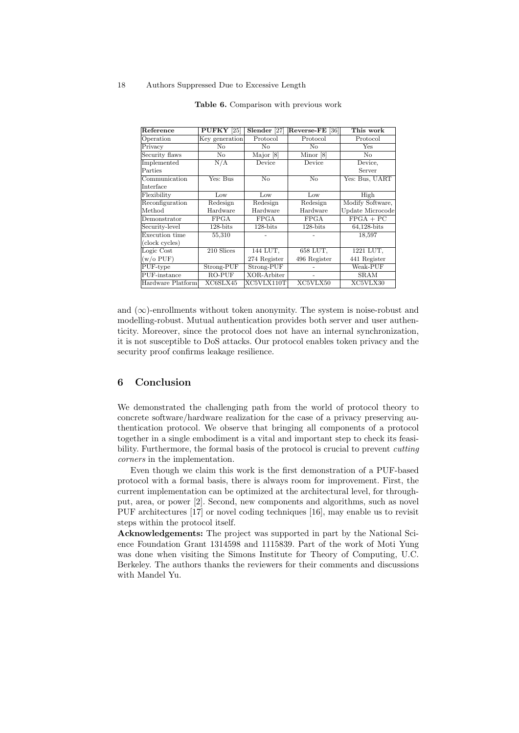| Reference                           | $PUFKY$ [25]   | Slender [27]                    | Reverse-FE [36] | This work        |
|-------------------------------------|----------------|---------------------------------|-----------------|------------------|
| Operation                           | Key generation | Protocol                        | Protocol        | Protocol         |
| Privacy                             | N <sub>o</sub> | No                              | No              | Yes              |
| Security flaws                      | $\rm No$       | Major [8]                       | Minor [8]       | No               |
| Implemented                         | N/A            | Device                          | Device          | Device,          |
| Parties                             |                |                                 |                 | Server           |
| Communication                       | Yes: Bus       | No                              | No              | Yes: Bus, UART   |
| Interface                           |                |                                 |                 |                  |
| Flexibility                         | Low            | Low                             | Low             | High             |
| Reconfiguration                     | Redesign       | Redesign                        | Redesign        | Modify Software, |
| Method                              | Hardware       | Hardware                        | Hardware        | Update Microcode |
| Demonstrator                        | <b>FPGA</b>    | <b>FPGA</b>                     | <b>FPGA</b>     | $FPGA + PC$      |
| Security-level                      | $128$ -bits    | $128$ -bits                     | $128$ -bits     | 64,128-bits      |
| Execution time                      | 55,310         |                                 |                 | 18,597           |
| (clock cycles)                      |                |                                 |                 |                  |
| Logic Cost                          | 210 Slices     | 144 LUT,                        | 658 LUT.        | 1221 LUT.        |
| $(w/o$ PUF)                         |                | 274 Register                    | 496 Register    | 441 Register     |
| PUF-type                            | Strong-PUF     | Strong-PUF                      |                 | Weak-PUF         |
| $\overline{\mathrm{PUF}}$ -instance | RO-PUF         | XOR-Arbiter                     |                 | <b>SRAM</b>      |
| Hardware Platform                   | XC6SLX45       | $\overline{\text{XC5VL}}$ X110T | XC5VLX50        | XC5VLX30         |

| Table 6. Comparison with previous work |  |  |  |  |
|----------------------------------------|--|--|--|--|
|----------------------------------------|--|--|--|--|

and  $(\infty)$ -enrollments without token anonymity. The system is noise-robust and modelling-robust. Mutual authentication provides both server and user authenticity. Moreover, since the protocol does not have an internal synchronization, it is not susceptible to DoS attacks. Our protocol enables token privacy and the security proof confirms leakage resilience.

### 6 Conclusion

We demonstrated the challenging path from the world of protocol theory to concrete software/hardware realization for the case of a privacy preserving authentication protocol. We observe that bringing all components of a protocol together in a single embodiment is a vital and important step to check its feasibility. Furthermore, the formal basis of the protocol is crucial to prevent *cutting* corners in the implementation.

Even though we claim this work is the first demonstration of a PUF-based protocol with a formal basis, there is always room for improvement. First, the current implementation can be optimized at the architectural level, for throughput, area, or power [2]. Second, new components and algorithms, such as novel PUF architectures [17] or novel coding techniques [16], may enable us to revisit steps within the protocol itself.

Acknowledgements: The project was supported in part by the National Science Foundation Grant 1314598 and 1115839. Part of the work of Moti Yung was done when visiting the Simons Institute for Theory of Computing, U.C. Berkeley. The authors thanks the reviewers for their comments and discussions with Mandel Yu.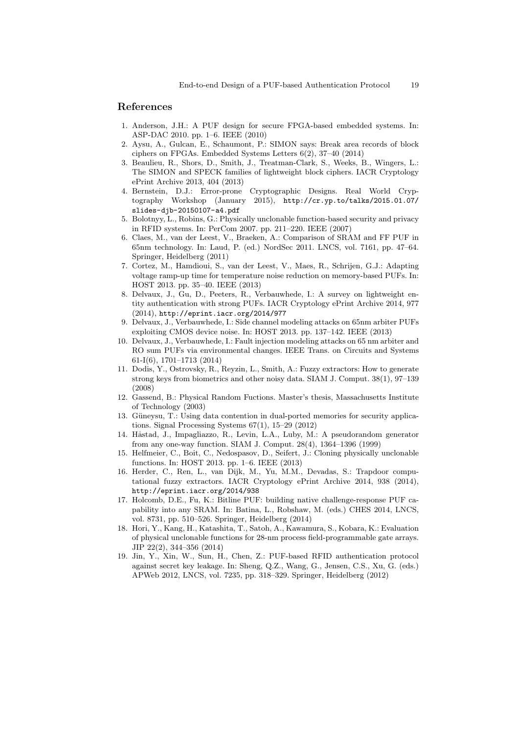### References

- 1. Anderson, J.H.: A PUF design for secure FPGA-based embedded systems. In: ASP-DAC 2010. pp. 1–6. IEEE (2010)
- 2. Aysu, A., Gulcan, E., Schaumont, P.: SIMON says: Break area records of block ciphers on FPGAs. Embedded Systems Letters 6(2), 37–40 (2014)
- 3. Beaulieu, R., Shors, D., Smith, J., Treatman-Clark, S., Weeks, B., Wingers, L.: The SIMON and SPECK families of lightweight block ciphers. IACR Cryptology ePrint Archive 2013, 404 (2013)
- 4. Bernstein, D.J.: Error-prone Cryptographic Designs. Real World Cryptography Workshop (January 2015), http://cr.yp.to/talks/2015.01.07/ slides-djb-20150107-a4.pdf
- 5. Bolotnyy, L., Robins, G.: Physically unclonable function-based security and privacy in RFID systems. In: PerCom 2007. pp. 211–220. IEEE (2007)
- 6. Claes, M., van der Leest, V., Braeken, A.: Comparison of SRAM and FF PUF in 65nm technology. In: Laud, P. (ed.) NordSec 2011. LNCS, vol. 7161, pp. 47–64. Springer, Heidelberg (2011)
- 7. Cortez, M., Hamdioui, S., van der Leest, V., Maes, R., Schrijen, G.J.: Adapting voltage ramp-up time for temperature noise reduction on memory-based PUFs. In: HOST 2013. pp. 35–40. IEEE (2013)
- 8. Delvaux, J., Gu, D., Peeters, R., Verbauwhede, I.: A survey on lightweight entity authentication with strong PUFs. IACR Cryptology ePrint Archive 2014, 977 (2014), http://eprint.iacr.org/2014/977
- 9. Delvaux, J., Verbauwhede, I.: Side channel modeling attacks on 65nm arbiter PUFs exploiting CMOS device noise. In: HOST 2013. pp. 137–142. IEEE (2013)
- 10. Delvaux, J., Verbauwhede, I.: Fault injection modeling attacks on 65 nm arbiter and RO sum PUFs via environmental changes. IEEE Trans. on Circuits and Systems 61-I(6), 1701–1713 (2014)
- 11. Dodis, Y., Ostrovsky, R., Reyzin, L., Smith, A.: Fuzzy extractors: How to generate strong keys from biometrics and other noisy data. SIAM J. Comput. 38(1), 97–139 (2008)
- 12. Gassend, B.: Physical Random Fuctions. Master's thesis, Massachusetts Institute of Technology (2003)
- 13. Güneysu, T.: Using data contention in dual-ported memories for security applications. Signal Processing Systems 67(1), 15–29 (2012)
- 14. Håstad, J., Impagliazzo, R., Levin, L.A., Luby, M.: A pseudorandom generator from any one-way function. SIAM J. Comput. 28(4), 1364–1396 (1999)
- 15. Helfmeier, C., Boit, C., Nedospasov, D., Seifert, J.: Cloning physically unclonable functions. In: HOST 2013. pp. 1–6. IEEE (2013)
- 16. Herder, C., Ren, L., van Dijk, M., Yu, M.M., Devadas, S.: Trapdoor computational fuzzy extractors. IACR Cryptology ePrint Archive 2014, 938 (2014), http://eprint.iacr.org/2014/938
- 17. Holcomb, D.E., Fu, K.: Bitline PUF: building native challenge-response PUF capability into any SRAM. In: Batina, L., Robshaw, M. (eds.) CHES 2014, LNCS, vol. 8731, pp. 510–526. Springer, Heidelberg (2014)
- 18. Hori, Y., Kang, H., Katashita, T., Satoh, A., Kawamura, S., Kobara, K.: Evaluation of physical unclonable functions for 28-nm process field-programmable gate arrays. JIP 22(2), 344–356 (2014)
- 19. Jin, Y., Xin, W., Sun, H., Chen, Z.: PUF-based RFID authentication protocol against secret key leakage. In: Sheng, Q.Z., Wang, G., Jensen, C.S., Xu, G. (eds.) APWeb 2012, LNCS, vol. 7235, pp. 318–329. Springer, Heidelberg (2012)